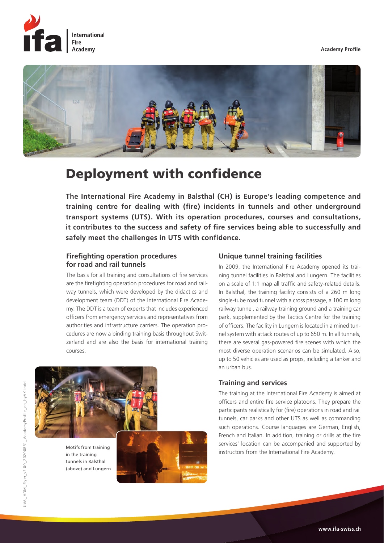**Academy Profile**





# Deployment with confidence

**The International Fire Academy in Balsthal (CH) is Europe's leading competence and training centre for dealing with (fire) incidents in tunnels and other underground transport systems (UTS). With its operation procedures, courses and consultations, it contributes to the success and safety of fire services being able to successfully and safely meet the challenges in UTS with confidence.** 

## **Firefighting operation procedures for road and rail tunnels**

The basis for all training and consultations of fire services are the firefighting operation procedures for road and railway tunnels, which were developed by the didactics and development team (DDT) of the International Fire Academy. The DDT is a team of experts that includes experienced officers from emergency services and representatives from authorities and infrastructure carriers. The operation procedures are now a binding training basis throughout Switzerland and are also the basis for international training courses.



in the training tunnels in Balsthal (above) and Lungern



## **Unique tunnel training facilities**

In 2009, the International Fire Academy opened its training tunnel facilities in Balsthal and Lungern. The facilities on a scale of 1:1 map all traffic and safety-related details. In Balsthal, the training facility consists of a 260 m long single-tube road tunnel with a cross passage, a 100 m long railway tunnel, a railway training ground and a training car park, supplemented by the Tactics Centre for the training of officers. The facility in Lungern is located in a mined tunnel system with attack routes of up to 650 m. In all tunnels, there are several gas-powered fire scenes with which the most diverse operation scenarios can be simulated. Also, up to 50 vehicles are used as props, including a tanker and an urban bus.

## **Training and services**

The training at the International Fire Academy is aimed at officers and entire fire service platoons. They prepare the participants realistically for (fire) operations in road and rail tunnels, car parks and other UTS as well as commanding such operations. Course languages are German, English, French and Italian. In addition, training or drills at the fire services' location can be accompanied and supported by Motifs from training<br>instructors from the International Fire Academy.